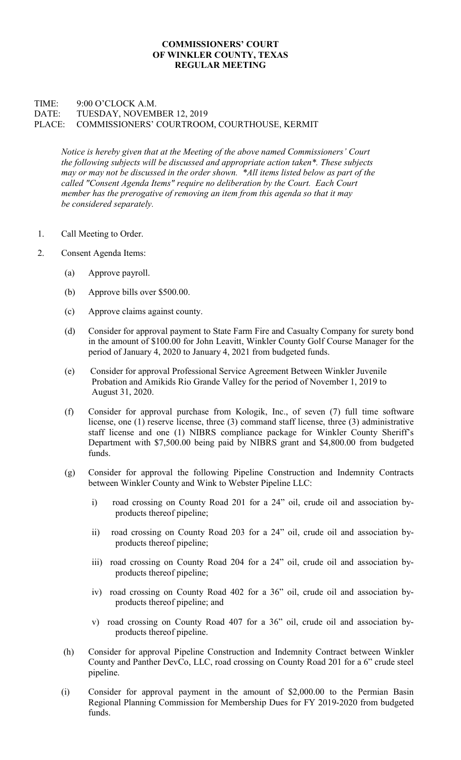## COMMISSIONERS' COURT OF WINKLER COUNTY, TEXAS REGULAR MEETING

## TIME: 9:00 O'CLOCK A.M. DATE: TUESDAY, NOVEMBER 12, 2019 PLACE: COMMISSIONERS' COURTROOM, COURTHOUSE, KERMIT

Notice is hereby given that at the Meeting of the above named Commissioners' Court the following subjects will be discussed and appropriate action taken\*. These subjects may or may not be discussed in the order shown. \*All items listed below as part of the called "Consent Agenda Items" require no deliberation by the Court. Each Court member has the prerogative of removing an item from this agenda so that it may be considered separately.

- 1. Call Meeting to Order.
- 2. Consent Agenda Items:
	- (a) Approve payroll.
	- (b) Approve bills over \$500.00.
	- (c) Approve claims against county.
	- (d) Consider for approval payment to State Farm Fire and Casualty Company for surety bond in the amount of \$100.00 for John Leavitt, Winkler County Golf Course Manager for the period of January 4, 2020 to January 4, 2021 from budgeted funds.
	- (e) Consider for approval Professional Service Agreement Between Winkler Juvenile Probation and Amikids Rio Grande Valley for the period of November 1, 2019 to August 31, 2020.
	- (f) Consider for approval purchase from Kologik, Inc., of seven (7) full time software license, one (1) reserve license, three (3) command staff license, three (3) administrative staff license and one (1) NIBRS compliance package for Winkler County Sheriff's Department with \$7,500.00 being paid by NIBRS grant and \$4,800.00 from budgeted funds.
	- (g) Consider for approval the following Pipeline Construction and Indemnity Contracts between Winkler County and Wink to Webster Pipeline LLC:
		- i) road crossing on County Road 201 for a 24" oil, crude oil and association byproducts thereof pipeline;
		- ii) road crossing on County Road 203 for a 24" oil, crude oil and association byproducts thereof pipeline;
		- iii) road crossing on County Road 204 for a 24" oil, crude oil and association byproducts thereof pipeline;
		- iv) road crossing on County Road 402 for a 36" oil, crude oil and association byproducts thereof pipeline; and
		- v) road crossing on County Road 407 for a 36" oil, crude oil and association byproducts thereof pipeline.
	- (h) Consider for approval Pipeline Construction and Indemnity Contract between Winkler County and Panther DevCo, LLC, road crossing on County Road 201 for a 6" crude steel pipeline.
	- (i) Consider for approval payment in the amount of \$2,000.00 to the Permian Basin Regional Planning Commission for Membership Dues for FY 2019-2020 from budgeted funds.